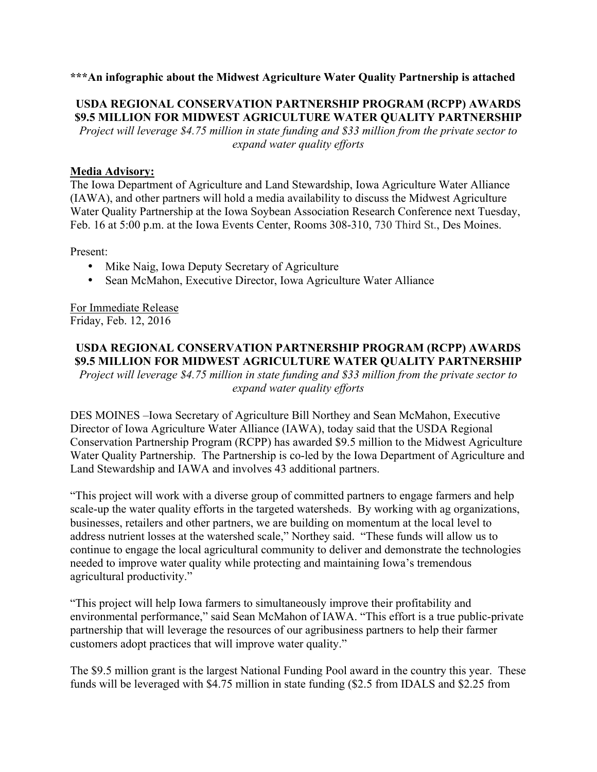## **\*\*\*An infographic about the Midwest Agriculture Water Quality Partnership is attached**

# **USDA REGIONAL CONSERVATION PARTNERSHIP PROGRAM (RCPP) AWARDS \$9.5 MILLION FOR MIDWEST AGRICULTURE WATER QUALITY PARTNERSHIP** *Project will leverage \$4.75 million in state funding and \$33 million from the private sector to*

*expand water quality efforts*

## **Media Advisory:**

The Iowa Department of Agriculture and Land Stewardship, Iowa Agriculture Water Alliance (IAWA), and other partners will hold a media availability to discuss the Midwest Agriculture Water Quality Partnership at the Iowa Soybean Association Research Conference next Tuesday, Feb. 16 at 5:00 p.m. at the Iowa Events Center, Rooms 308-310, 730 Third St., Des Moines.

Present:

- Mike Naig, Iowa Deputy Secretary of Agriculture
- Sean McMahon, Executive Director, Iowa Agriculture Water Alliance

For Immediate Release Friday, Feb. 12, 2016

#### **USDA REGIONAL CONSERVATION PARTNERSHIP PROGRAM (RCPP) AWARDS \$9.5 MILLION FOR MIDWEST AGRICULTURE WATER QUALITY PARTNERSHIP**

*Project will leverage \$4.75 million in state funding and \$33 million from the private sector to expand water quality efforts*

DES MOINES –Iowa Secretary of Agriculture Bill Northey and Sean McMahon, Executive Director of Iowa Agriculture Water Alliance (IAWA), today said that the USDA Regional Conservation Partnership Program (RCPP) has awarded \$9.5 million to the Midwest Agriculture Water Quality Partnership. The Partnership is co-led by the Iowa Department of Agriculture and Land Stewardship and IAWA and involves 43 additional partners.

"This project will work with a diverse group of committed partners to engage farmers and help scale-up the water quality efforts in the targeted watersheds. By working with ag organizations, businesses, retailers and other partners, we are building on momentum at the local level to address nutrient losses at the watershed scale," Northey said. "These funds will allow us to continue to engage the local agricultural community to deliver and demonstrate the technologies needed to improve water quality while protecting and maintaining Iowa's tremendous agricultural productivity."

"This project will help Iowa farmers to simultaneously improve their profitability and environmental performance," said Sean McMahon of IAWA. "This effort is a true public-private partnership that will leverage the resources of our agribusiness partners to help their farmer customers adopt practices that will improve water quality."

The \$9.5 million grant is the largest National Funding Pool award in the country this year. These funds will be leveraged with \$4.75 million in state funding (\$2.5 from IDALS and \$2.25 from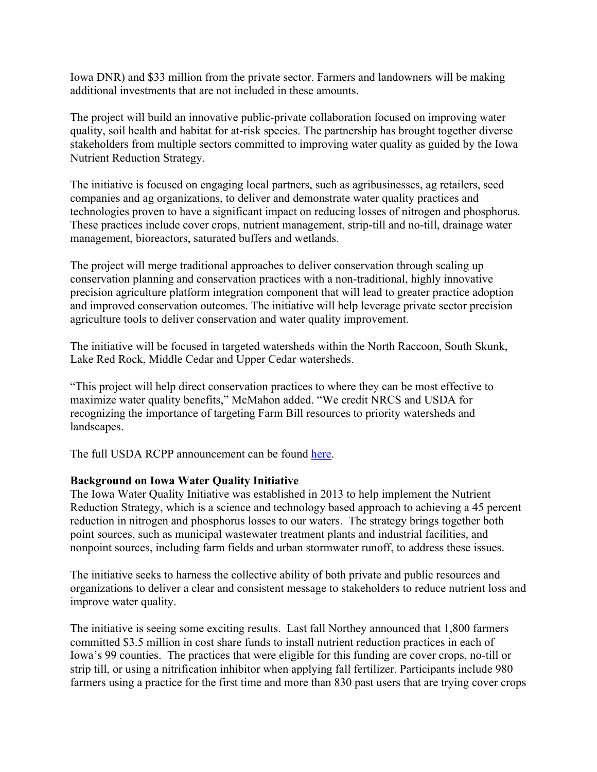Iowa DNR) and \$33 million from the private sector. Farmers and landowners will be making additional investments that are not included in these amounts.

The project will build an innovative public-private collaboration focused on improving water quality, soil health and habitat for at-risk species. The partnership has brought together diverse stakeholders from multiple sectors committed to improving water quality as guided by the Iowa Nutrient Reduction Strategy.

The initiative is focused on engaging local partners, such as agribusinesses, ag retailers, seed companies and ag organizations, to deliver and demonstrate water quality practices and technologies proven to have a significant impact on reducing losses of nitrogen and phosphorus. These practices include cover crops, nutrient management, strip-till and no-till, drainage water management, bioreactors, saturated buffers and wetlands.

The project will merge traditional approaches to deliver conservation through scaling up conservation planning and conservation practices with a non-traditional, highly innovative precision agriculture platform integration component that will lead to greater practice adoption and improved conservation outcomes. The initiative will help leverage private sector precision agriculture tools to deliver conservation and water quality improvement.

The initiative will be focused in targeted watersheds within the North Raccoon, South Skunk, Lake Red Rock, Middle Cedar and Upper Cedar watersheds.

"This project will help direct conservation practices to where they can be most effective to maximize water quality benefits," McMahon added. "We credit NRCS and USDA for recognizing the importance of targeting Farm Bill resources to priority watersheds and landscapes.

The full USDA RCPP announcement can be found here.

# **Background on Iowa Water Quality Initiative**

The Iowa Water Quality Initiative was established in 2013 to help implement the Nutrient Reduction Strategy, which is a science and technology based approach to achieving a 45 percent reduction in nitrogen and phosphorus losses to our waters. The strategy brings together both point sources, such as municipal wastewater treatment plants and industrial facilities, and nonpoint sources, including farm fields and urban stormwater runoff, to address these issues.

The initiative seeks to harness the collective ability of both private and public resources and organizations to deliver a clear and consistent message to stakeholders to reduce nutrient loss and improve water quality.

The initiative is seeing some exciting results. Last fall Northey announced that 1,800 farmers committed \$3.5 million in cost share funds to install nutrient reduction practices in each of Iowa's 99 counties. The practices that were eligible for this funding are cover crops, no-till or strip till, or using a nitrification inhibitor when applying fall fertilizer. Participants include 980 farmers using a practice for the first time and more than 830 past users that are trying cover crops